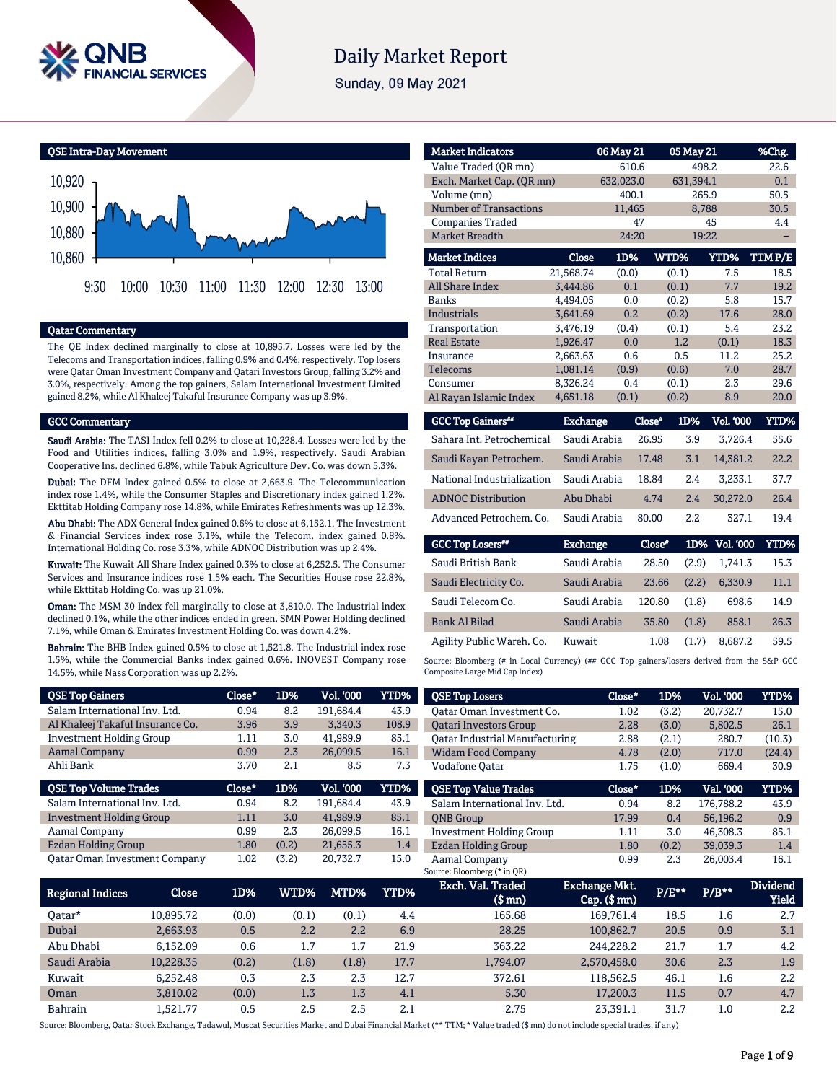

# **Daily Market Report**

Sunday, 09 May 2021

QSE Intra-Day Movement



#### Qatar Commentary

The QE Index declined marginally to close at 10,895.7. Losses were led by the Telecoms and Transportation indices, falling 0.9% and 0.4%, respectively. Top losers were Qatar Oman Investment Company and Qatari Investors Group, falling 3.2% and 3.0%, respectively. Among the top gainers, Salam International Investment Limited gained 8.2%, while Al Khaleej Takaful Insurance Company was up 3.9%.

#### GCC Commentary

Saudi Arabia: The TASI Index fell 0.2% to close at 10,228.4. Losses were led by the Food and Utilities indices, falling 3.0% and 1.9%, respectively. Saudi Arabian Cooperative Ins. declined 6.8%, while Tabuk Agriculture Dev. Co. was down 5.3%.

Dubai: The DFM Index gained 0.5% to close at 2,663.9. The Telecommunication index rose 1.4%, while the Consumer Staples and Discretionary index gained 1.2%. Ekttitab Holding Company rose 14.8%, while Emirates Refreshments was up 12.3%.

Abu Dhabi: The ADX General Index gained 0.6% to close at 6,152.1. The Investment & Financial Services index rose 3.1%, while the Telecom. index gained 0.8%. International Holding Co. rose 3.3%, while ADNOC Distribution was up 2.4%.

Kuwait: The Kuwait All Share Index gained 0.3% to close at 6,252.5. The Consumer Services and Insurance indices rose 1.5% each. The Securities House rose 22.8%, while Ekttitab Holding Co. was up 21.0%.

**Oman:** The MSM 30 Index fell marginally to close at 3,810.0. The Industrial index declined 0.1%, while the other indices ended in green. SMN Power Holding declined 7.1%, while Oman & Emirates Investment Holding Co. was down 4.2%.

Bahrain: The BHB Index gained 0.5% to close at 1,521.8. The Industrial index rose 1.5%, while the Commercial Banks index gained 0.6%. INOVEST Company rose 14.5%, while Nass Corporation was up 2.2%.

| <b>Market Indicators</b>      |                 | 06 May 21 | 05 May 21     |                  | %Chg.       |
|-------------------------------|-----------------|-----------|---------------|------------------|-------------|
| Value Traded (QR mn)          |                 | 610.6     |               | 498.2            | 22.6        |
| Exch. Market Cap. (QR mn)     |                 | 632,023.0 | 631,394.1     |                  | 0.1         |
| Volume (mn)                   |                 | 400.1     |               | 265.9            | 50.5        |
| <b>Number of Transactions</b> |                 | 11.465    |               | 8,788            | 30.5        |
| <b>Companies Traded</b>       |                 | 47        |               | 45               | 4.4         |
| <b>Market Breadth</b>         |                 | 24:20     |               | 19:22            |             |
| <b>Market Indices</b>         | Close           | 1D%       | WTD%          | YTD%             | TTMP/E      |
| <b>Total Return</b>           | 21,568.74       | (0.0)     | (0.1)         | 7.5              | 18.5        |
| All Share Index               | 3,444.86        | 0.1       | (0.1)         | 7.7              | 19.2        |
| <b>Banks</b>                  | 4.494.05        | 0.0       | (0.2)         | 5.8              | 15.7        |
| <b>Industrials</b>            | 3.641.69        | 0.2       | (0.2)         | 17.6             | 28.0        |
| Transportation                | 3,476.19        | (0.4)     | (0.1)         | 5.4              | 23.2        |
| <b>Real Estate</b>            | 1,926.47        | 0.0       | 1.2           | (0.1)            | 18.3        |
| Insurance                     | 2.663.63        | 0.6       | 0.5           | 11.2             | 25.2        |
| <b>Telecoms</b>               | 1,081.14        | (0.9)     | (0.6)         | 7.0              | 28.7        |
| Consumer                      | 8,326.24        | 0.4       | (0.1)         | 2.3              | 29.6        |
| Al Rayan Islamic Index        | 4,651.18        | (0.1)     | (0.2)         | 8.9              | 20.0        |
| <b>GCC Top Gainers</b> "      | <b>Exchange</b> |           | Close"<br>1D% | <b>Vol. '000</b> | <b>YTD%</b> |

| Sahara Int. Petrochemical  | Saudi Arabia | 26.95 | 3.9              | 3.726.4  | 55.6 |
|----------------------------|--------------|-------|------------------|----------|------|
| Saudi Kayan Petrochem.     | Saudi Arabia | 17.48 | 3.1              | 14.381.2 | 22.2 |
| National Industrialization | Saudi Arabia | 18.84 | 2.4              | 3.233.1  | 37.7 |
| <b>ADNOC Distribution</b>  | Abu Dhabi    | 4.74  | 2.4              | 30.272.0 | 26.4 |
| Advanced Petrochem. Co.    | Saudi Arabia | 80.00 | $2.2\phantom{0}$ | 327.1    | 19.4 |

| <b>GCC Top Losers**</b>   | <b>Exchange</b> | Close" |       | 1D% Vol. '000 | YTD% |
|---------------------------|-----------------|--------|-------|---------------|------|
| Saudi British Bank        | Saudi Arabia    | 28.50  | (2.9) | 1.741.3       | 15.3 |
| Saudi Electricity Co.     | Saudi Arabia    | 23.66  | (2.2) | 6.330.9       | 11.1 |
| Saudi Telecom Co.         | Saudi Arabia    | 120.80 | (1.8) | 698.6         | 14.9 |
| Bank Al Bilad             | Saudi Arabia    | 35.80  | (1.8) | 858.1         | 26.3 |
| Agility Public Wareh. Co. | Kuwait          | 1.08   | (1.7) | 8.687.2       | 59.5 |

Source: Bloomberg (# in Local Currency) (## GCC Top gainers/losers derived from the S&P GCC Composite Large Mid Cap Index)

| <b>OSE Top Gainers</b>               | Close*      | 1D%             | <b>Vol. '000</b> | <b>YTD%</b>     | <b>QSE Top Losers</b>                 | Close*        | 1D%         | Vol. '000 | YTD%            |
|--------------------------------------|-------------|-----------------|------------------|-----------------|---------------------------------------|---------------|-------------|-----------|-----------------|
| Salam International Inv. Ltd.        | 0.94        | 8.2             | 191.684.4        | 43.9            | Oatar Oman Investment Co.             | 1.02          | (3.2)       | 20,732.7  | 15.0            |
| Al Khaleej Takaful Insurance Co.     | 3.96        | 3.9             | 3.340.3          | 108.9           | <b>Oatari Investors Group</b>         | 2.28          | (3.0)       | 5,802.5   | 26.1            |
| <b>Investment Holding Group</b>      | 1.11        | 3.0             | 41,989.9         | 85.1            | <b>Qatar Industrial Manufacturing</b> | 2.88          | (2.1)       | 280.7     | (10.3)          |
| <b>Aamal Company</b>                 | 0.99        | 2.3             | 26,099.5         | 16.1            | <b>Widam Food Company</b>             | 4.78          | (2.0)       | 717.0     | (24.4)          |
| Ahli Bank                            | 3.70        | 2.1             | 8.5              | 7.3             | <b>Vodafone Oatar</b>                 | 1.75          | (1.0)       | 669.4     | 30.9            |
| <b>OSE Top Volume Trades</b>         | Close*      | 1D%             | <b>Vol. '000</b> | <b>YTD%</b>     | <b>OSE Top Value Trades</b>           | Close*        | 1D%         | Val. '000 | <b>YTD%</b>     |
| Salam International Inv. Ltd.        | 0.94        | 8.2             | 191.684.4        | 43.9            | Salam International Inv. Ltd.         | 0.94          | 8.2         | 176.788.2 | 43.9            |
| <b>Investment Holding Group</b>      | 1.11        | 3.0             | 41,989.9         | 85.1            | <b>ONB</b> Group                      | 17.99         | 0.4         | 56,196.2  | 0.9             |
| Aamal Company                        | 0.99        | 2.3             | 26,099.5         | 16.1            | <b>Investment Holding Group</b>       | 1.11          | 3.0         | 46,308.3  | 85.1            |
| <b>Ezdan Holding Group</b>           | 1.80        | (0.2)           | 21,655.3         | 1.4             | <b>Ezdan Holding Group</b>            | 1.80          | (0.2)       | 39,039.3  | 1.4             |
| <b>Qatar Oman Investment Company</b> | 1.02        | (3.2)           | 20,732.7         | 15.0            | Aamal Company                         | 0.99          | 2.3         | 26,003.4  | 16.1            |
|                                      |             |                 |                  |                 | Source: Bloomberg (* in QR)           |               |             |           |                 |
| $\sim$ $\sim$<br>.                   | <b>1D07</b> | <b>TITTING!</b> | <b>ASTRAL</b>    | <b>SZIPPLAZ</b> | Exch. Val. Traded                     | Exchange Mkt. | <b>DIDA</b> | B/244     | <b>Dividend</b> |

| <b>Regional Indices</b> | Close     | 1D%   | WTD%  | MTD%  | YTD% | Exch. val. Iraded<br>(\$ mn) | Exchange MKL.<br>$Cap.$ (\$ mn) | $P/E***$ | $P/B***$ | Dividend<br>Yield |
|-------------------------|-----------|-------|-------|-------|------|------------------------------|---------------------------------|----------|----------|-------------------|
| Oatar*                  | 10.895.72 | (0.0) | (0.1) | (0.1) | 4.4  | 165.68                       | 169.761.4                       | 18.5     | 1.6      | 2.7               |
| Dubai                   | 2.663.93  | 0.5   | 2.2   | 2.2   | 6.9  | 28.25                        | 100.862.7                       | 20.5     | 0.9      | 3.1               |
| Abu Dhabi               | 6.152.09  | 0.6   | 1.7   | 1.7   | 21.9 | 363.22                       | 244.228.2                       | 21.7     | 1.7      | 4.2               |
| Saudi Arabia            | 10,228.35 | (0.2) | (1.8) | (1.8) | 17.7 | 1.794.07                     | 2,570,458.0                     | 30.6     | 2.3      | 1.9               |
| Kuwait                  | 6.252.48  | 0.3   | 2.3   | 2.3   | 12.7 | 372.61                       | 118.562.5                       | 46.1     | $1.6\,$  | 2.2               |
| Oman                    | 3.810.02  | (0.0) | 1.3   | 1.3   | 4.1  | 5.30                         | 17.200.3                        | 11.5     | 0.7      | 4.7               |
| <b>Bahrain</b>          | .521.77   | 0.5   | 2.5   | 2.5   | 2.1  | 2.75                         | 23.391.1                        | 31.7     | 1.0      | 2.2               |

Source: Bloomberg, Qatar Stock Exchange, Tadawul, Muscat Securities Market and Dubai Financial Market (\*\* TTM; \* Value traded (\$ mn) do not include special trades, if any)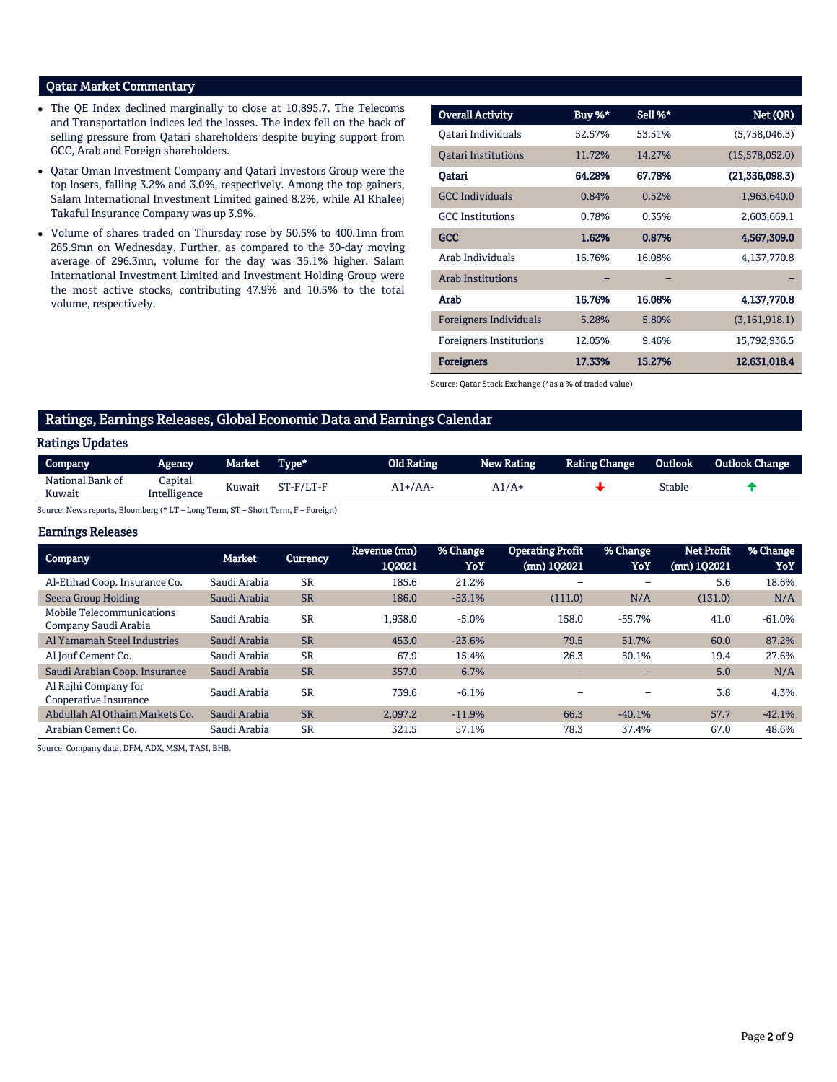# Qatar Market Commentary

- The QE Index declined marginally to close at 10,895.7. The Telecoms and Transportation indices led the losses. The index fell on the back of selling pressure from Qatari shareholders despite buying support from GCC, Arab and Foreign shareholders.
- Qatar Oman Investment Company and Qatari Investors Group were the top losers, falling 3.2% and 3.0%, respectively. Among the top gainers, Salam International Investment Limited gained 8.2%, while Al Khaleej Takaful Insurance Company was up 3.9%.
- Volume of shares traded on Thursday rose by 50.5% to 400.1mn from 265.9mn on Wednesday. Further, as compared to the 30-day moving average of 296.3mn, volume for the day was 35.1% higher. Salam International Investment Limited and Investment Holding Group were the most active stocks, contributing 47.9% and 10.5% to the total volume, respectively.

| <b>Overall Activity</b>        | Buy %* | Sell %* | Net (QR)        |
|--------------------------------|--------|---------|-----------------|
|                                |        |         |                 |
| Oatari Individuals             | 52.57% | 53.51%  | (5,758,046.3)   |
| <b>Oatari Institutions</b>     | 11.72% | 14.27%  | (15,578,052.0)  |
| Oatari                         | 64.28% | 67.78%  | (21,336,098.3)  |
| <b>GCC</b> Individuals         | 0.84%  | 0.52%   | 1,963,640.0     |
| <b>GCC</b> Institutions        | 0.78%  | 0.35%   | 2,603,669.1     |
| <b>GCC</b>                     | 1.62%  | 0.87%   | 4,567,309.0     |
| Arab Individuals               | 16.76% | 16.08%  | 4,137,770.8     |
| <b>Arab Institutions</b>       |        |         |                 |
| Arab                           | 16.76% | 16.08%  | 4,137,770.8     |
| <b>Foreigners Individuals</b>  | 5.28%  | 5.80%   | (3, 161, 918.1) |
| <b>Foreigners Institutions</b> | 12.05% | 9.46%   | 15,792,936.5    |
| <b>Foreigners</b>              | 17.33% | 15.27%  | 12,631,018.4    |

Source: Qatar Stock Exchange (\*as a % of traded value)

# Ratings, Earnings Releases, Global Economic Data and Earnings Calendar

# Ratings Updates

| Company          | Agency       | Market . | Type*     | Old Rating | New Rating | <b>Rating Change</b> | <b>Outlook</b> | <b>Outlook Change</b> |
|------------------|--------------|----------|-----------|------------|------------|----------------------|----------------|-----------------------|
| National Bank of | Capital      |          | ST-F/LT-F | 1+/AA      | A1/A       |                      | Stable         |                       |
| Kuwait           | Intelligence | Kuwait   |           |            |            |                      |                |                       |

Source: News reports, Bloomberg (\* LT – Long Term, ST – Short Term, F – Foreign)

#### Earnings Releases

| <b>Company</b>                                    | Market       | <b>Currency</b> | Revenue (mn)<br>1Q2021 | % Change<br>YoY | <b>Operating Profit</b><br>(mn) 1Q2021 | % Change<br>YoY | <b>Net Profit</b><br>(mn) 1Q2021 | % Change<br>YoY |
|---------------------------------------------------|--------------|-----------------|------------------------|-----------------|----------------------------------------|-----------------|----------------------------------|-----------------|
| Al-Etihad Coop. Insurance Co.                     | Saudi Arabia | <b>SR</b>       | 185.6                  | 21.2%           | -                                      | -               | 5.6                              | 18.6%           |
| Seera Group Holding                               | Saudi Arabia | <b>SR</b>       | 186.0                  | $-53.1%$        | (111.0)                                | N/A             | (131.0)                          | N/A             |
| Mobile Telecommunications<br>Company Saudi Arabia | Saudi Arabia | <b>SR</b>       | 1.938.0                | $-5.0%$         | 158.0                                  | $-55.7%$        | 41.0                             | $-61.0%$        |
| Al Yamamah Steel Industries                       | Saudi Arabia | <b>SR</b>       | 453.0                  | $-23.6%$        | 79.5                                   | 51.7%           | 60.0                             | 87.2%           |
| Al Jouf Cement Co.                                | Saudi Arabia | <b>SR</b>       | 67.9                   | 15.4%           | 26.3                                   | 50.1%           | 19.4                             | 27.6%           |
| Saudi Arabian Coop. Insurance                     | Saudi Arabia | <b>SR</b>       | 357.0                  | 6.7%            | -                                      | -               | 5.0                              | N/A             |
| Al Rajhi Company for<br>Cooperative Insurance     | Saudi Arabia | <b>SR</b>       | 739.6                  | $-6.1%$         |                                        | -               | 3.8                              | 4.3%            |
| Abdullah Al Othaim Markets Co.                    | Saudi Arabia | <b>SR</b>       | 2.097.2                | $-11.9%$        | 66.3                                   | $-40.1%$        | 57.7                             | $-42.1%$        |
| Arabian Cement Co.                                | Saudi Arabia | <b>SR</b>       | 321.5                  | 57.1%           | 78.3                                   | 37.4%           | 67.0                             | 48.6%           |

Source: Company data, DFM, ADX, MSM, TASI, BHB.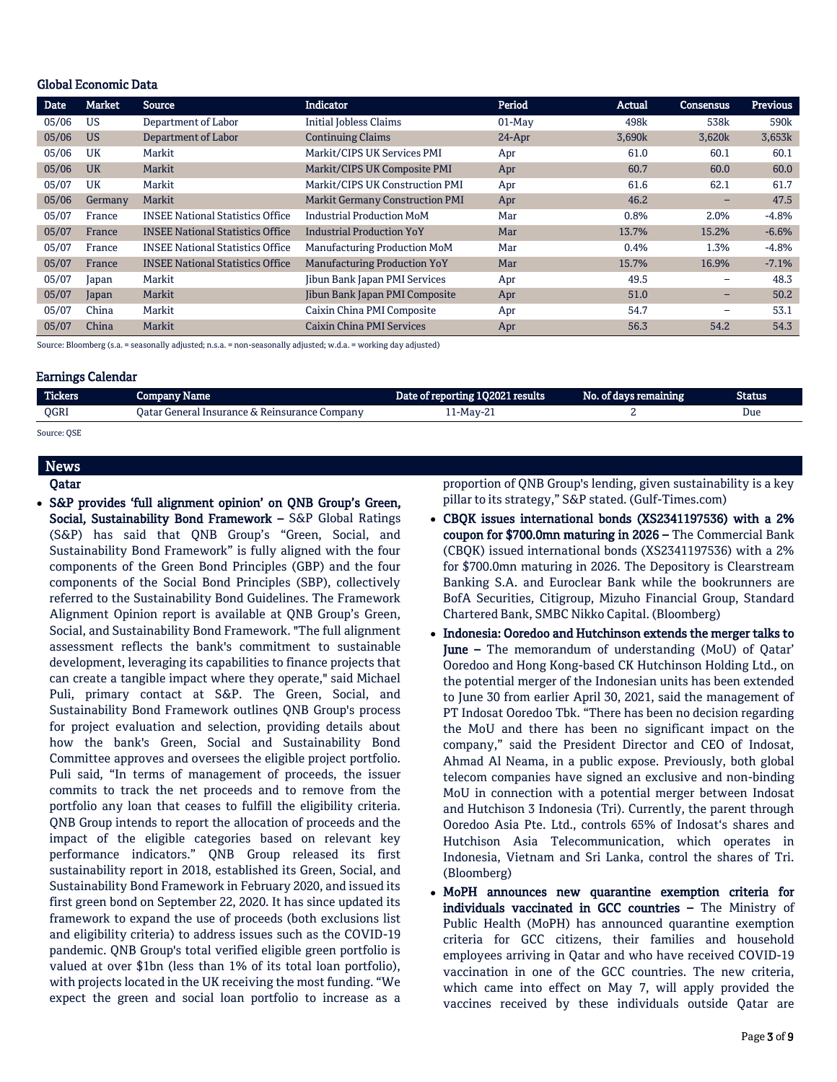#### Global Economic Data

| Date  | Market    | <b>Source</b>                           | <b>Indicator</b>                       | Period   | Actual | <b>Consensus</b> | <b>Previous</b>  |
|-------|-----------|-----------------------------------------|----------------------------------------|----------|--------|------------------|------------------|
| 05/06 | <b>US</b> | Department of Labor                     | <b>Initial Jobless Claims</b>          | $01-Mav$ | 498k   | 538k             | 590 <sub>k</sub> |
| 05/06 | <b>US</b> | Department of Labor                     | <b>Continuing Claims</b>               | $24-Apr$ | 3,690k | 3,620k           | 3,653k           |
| 05/06 | UK        | Markit                                  | Markit/CIPS UK Services PMI            | Apr      | 61.0   | 60.1             | 60.1             |
| 05/06 | <b>UK</b> | Markit                                  | Markit/CIPS UK Composite PMI           | Apr      | 60.7   | 60.0             | 60.0             |
| 05/07 | UK        | Markit                                  | Markit/CIPS UK Construction PMI        | Apr      | 61.6   | 62.1             | 61.7             |
| 05/06 | Germany   | Markit                                  | <b>Markit Germany Construction PMI</b> | Apr      | 46.2   | -                | 47.5             |
| 05/07 | France    | <b>INSEE National Statistics Office</b> | <b>Industrial Production MoM</b>       | Mar      | 0.8%   | 2.0%             | $-4.8%$          |
| 05/07 | France    | <b>INSEE National Statistics Office</b> | <b>Industrial Production YoY</b>       | Mar      | 13.7%  | 15.2%            | $-6.6%$          |
| 05/07 | France    | <b>INSEE National Statistics Office</b> | Manufacturing Production MoM           | Mar      | 0.4%   | 1.3%             | $-4.8%$          |
| 05/07 | France    | <b>INSEE National Statistics Office</b> | <b>Manufacturing Production YoY</b>    | Mar      | 15.7%  | 16.9%            | $-7.1%$          |
| 05/07 | Japan     | Markit                                  | <b>Jibun Bank Japan PMI Services</b>   | Apr      | 49.5   | -                | 48.3             |
| 05/07 | Japan     | Markit                                  | Jibun Bank Japan PMI Composite         | Apr      | 51.0   | -                | 50.2             |
| 05/07 | China     | Markit                                  | Caixin China PMI Composite             | Apr      | 54.7   | -                | 53.1             |
| 05/07 | China     | Markit                                  | Caixin China PMI Services              | Apr      | 56.3   | 54.2             | 54.3             |

Source: Bloomberg (s.a. = seasonally adjusted; n.s.a. = non-seasonally adjusted; w.d.a. = working day adjusted)

#### Earnings Calendar

| <b>Tickers</b> | Company Name                                  | Date of reporting 1Q2021 results | No. of days remaining | Status |
|----------------|-----------------------------------------------|----------------------------------|-----------------------|--------|
| OGRI           | Qatar General Insurance & Reinsurance Company | 11-May-21                        |                       | Due    |
|                |                                               |                                  |                       |        |

Source: QSE

# News Qatar

 S&P provides 'full alignment opinion' on QNB Group's Green, Social, Sustainability Bond Framework – S&P Global Ratings (S&P) has said that QNB Group's "Green, Social, and Sustainability Bond Framework" is fully aligned with the four components of the Green Bond Principles (GBP) and the four components of the Social Bond Principles (SBP), collectively referred to the Sustainability Bond Guidelines. The Framework Alignment Opinion report is available at QNB Group's Green, Social, and Sustainability Bond Framework. "The full alignment assessment reflects the bank's commitment to sustainable development, leveraging its capabilities to finance projects that can create a tangible impact where they operate," said Michael Puli, primary contact at S&P. The Green, Social, and Sustainability Bond Framework outlines QNB Group's process for project evaluation and selection, providing details about how the bank's Green, Social and Sustainability Bond Committee approves and oversees the eligible project portfolio. Puli said, "In terms of management of proceeds, the issuer commits to track the net proceeds and to remove from the portfolio any loan that ceases to fulfill the eligibility criteria. QNB Group intends to report the allocation of proceeds and the impact of the eligible categories based on relevant key performance indicators." QNB Group released its first sustainability report in 2018, established its Green, Social, and Sustainability Bond Framework in February 2020, and issued its first green bond on September 22, 2020. It has since updated its framework to expand the use of proceeds (both exclusions list and eligibility criteria) to address issues such as the COVID-19 pandemic. QNB Group's total verified eligible green portfolio is valued at over \$1bn (less than 1% of its total loan portfolio), with projects located in the UK receiving the most funding. "We expect the green and social loan portfolio to increase as a

proportion of QNB Group's lending, given sustainability is a key pillar to its strategy," S&P stated. (Gulf-Times.com)

- CBQK issues international bonds (XS2341197536) with a 2% coupon for \$700.0mn maturing in 2026 – The Commercial Bank (CBQK) issued international bonds (XS2341197536) with a 2% for \$700.0mn maturing in 2026. The Depository is Clearstream Banking S.A. and Euroclear Bank while the bookrunners are BofA Securities, Citigroup, Mizuho Financial Group, Standard Chartered Bank, SMBC Nikko Capital. (Bloomberg)
- Indonesia: Ooredoo and Hutchinson extends the merger talks to June – The memorandum of understanding (MoU) of Qatar' Ooredoo and Hong Kong-based CK Hutchinson Holding Ltd., on the potential merger of the Indonesian units has been extended to June 30 from earlier April 30, 2021, said the management of PT Indosat Ooredoo Tbk. "There has been no decision regarding the MoU and there has been no significant impact on the company," said the President Director and CEO of Indosat, Ahmad Al Neama, in a public expose. Previously, both global telecom companies have signed an exclusive and non-binding MoU in connection with a potential merger between Indosat and Hutchison 3 Indonesia (Tri). Currently, the parent through Ooredoo Asia Pte. Ltd., controls 65% of Indosat's shares and Hutchison Asia Telecommunication, which operates in Indonesia, Vietnam and Sri Lanka, control the shares of Tri. (Bloomberg)
- MoPH announces new quarantine exemption criteria for individuals vaccinated in GCC countries – The Ministry of Public Health (MoPH) has announced quarantine exemption criteria for GCC citizens, their families and household employees arriving in Qatar and who have received COVID-19 vaccination in one of the GCC countries. The new criteria, which came into effect on May 7, will apply provided the vaccines received by these individuals outside Qatar are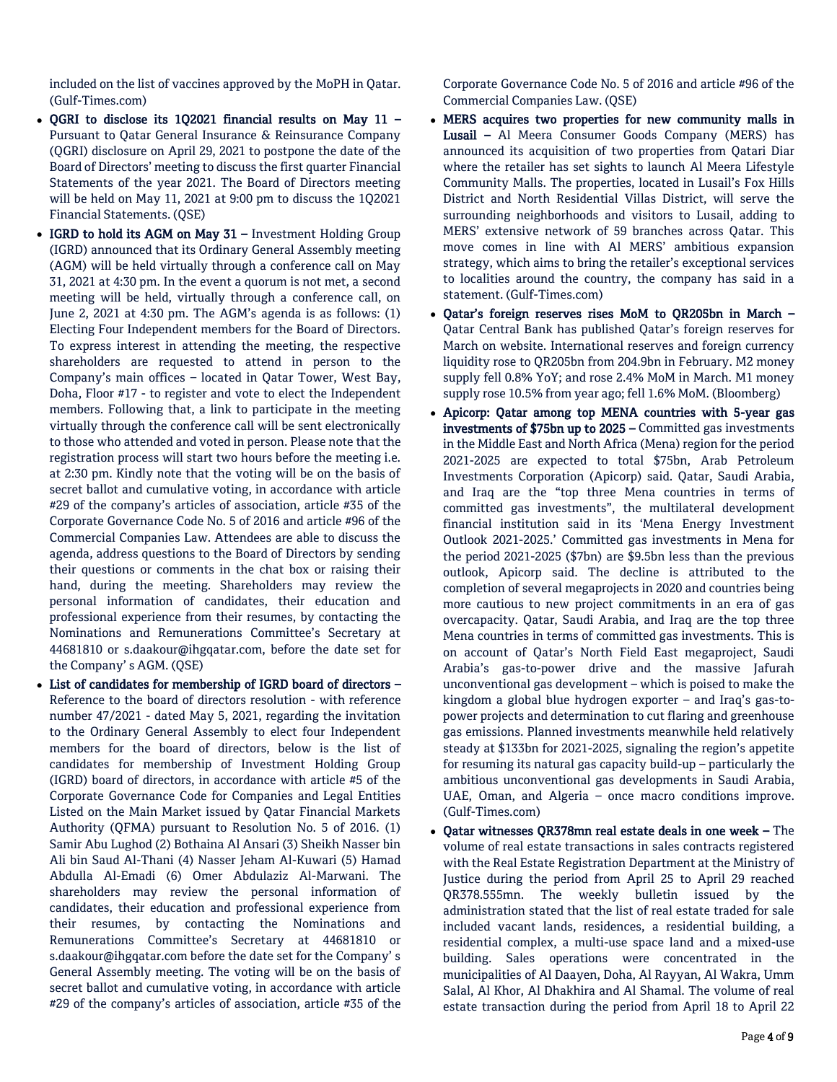included on the list of vaccines approved by the MoPH in Qatar. (Gulf-Times.com)

- $\bullet$  OGRI to disclose its 1Q2021 financial results on May 11 -Pursuant to Qatar General Insurance & Reinsurance Company (QGRI) disclosure on April 29, 2021 to postpone the date of the Board of Directors' meeting to discuss the first quarter Financial Statements of the year 2021. The Board of Directors meeting will be held on May 11, 2021 at 9:00 pm to discuss the 1Q2021 Financial Statements. (QSE)
- $\bullet$  IGRD to hold its AGM on May 31 Investment Holding Group (IGRD) announced that its Ordinary General Assembly meeting (AGM) will be held virtually through a conference call on May 31, 2021 at 4:30 pm. In the event a quorum is not met, a second meeting will be held, virtually through a conference call, on June 2, 2021 at 4:30 pm. The AGM's agenda is as follows: (1) Electing Four Independent members for the Board of Directors. To express interest in attending the meeting, the respective shareholders are requested to attend in person to the Company's main offices – located in Qatar Tower, West Bay, Doha, Floor #17 - to register and vote to elect the Independent members. Following that, a link to participate in the meeting virtually through the conference call will be sent electronically to those who attended and voted in person. Please note that the registration process will start two hours before the meeting i.e. at 2:30 pm. Kindly note that the voting will be on the basis of secret ballot and cumulative voting, in accordance with article #29 of the company's articles of association, article #35 of the Corporate Governance Code No. 5 of 2016 and article #96 of the Commercial Companies Law. Attendees are able to discuss the agenda, address questions to the Board of Directors by sending their questions or comments in the chat box or raising their hand, during the meeting. Shareholders may review the personal information of candidates, their education and professional experience from their resumes, by contacting the Nominations and Remunerations Committee's Secretary at 44681810 or s.daakour@ihgqatar.com, before the date set for the Company' s AGM. (QSE)
- List of candidates for membership of IGRD board of directors Reference to the board of directors resolution - with reference number 47/2021 - dated May 5, 2021, regarding the invitation to the Ordinary General Assembly to elect four Independent members for the board of directors, below is the list of candidates for membership of Investment Holding Group (IGRD) board of directors, in accordance with article #5 of the Corporate Governance Code for Companies and Legal Entities Listed on the Main Market issued by Qatar Financial Markets Authority (QFMA) pursuant to Resolution No. 5 of 2016. (1) Samir Abu Lughod (2) Bothaina Al Ansari (3) Sheikh Nasser bin Ali bin Saud Al-Thani (4) Nasser Jeham Al-Kuwari (5) Hamad Abdulla Al-Emadi (6) Omer Abdulaziz Al-Marwani. The shareholders may review the personal information of candidates, their education and professional experience from their resumes, by contacting the Nominations and Remunerations Committee's Secretary at 44681810 or s.daakour@ihgqatar.com before the date set for the Company' s General Assembly meeting. The voting will be on the basis of secret ballot and cumulative voting, in accordance with article #29 of the company's articles of association, article #35 of the

Corporate Governance Code No. 5 of 2016 and article #96 of the Commercial Companies Law. (QSE)

- MERS acquires two properties for new community malls in Lusail – Al Meera Consumer Goods Company (MERS) has announced its acquisition of two properties from Qatari Diar where the retailer has set sights to launch Al Meera Lifestyle Community Malls. The properties, located in Lusail's Fox Hills District and North Residential Villas District, will serve the surrounding neighborhoods and visitors to Lusail, adding to MERS' extensive network of 59 branches across Qatar. This move comes in line with Al MERS' ambitious expansion strategy, which aims to bring the retailer's exceptional services to localities around the country, the company has said in a statement. (Gulf-Times.com)
- Qatar's foreign reserves rises MoM to QR205bn in March Qatar Central Bank has published Qatar's foreign reserves for March on website. International reserves and foreign currency liquidity rose to QR205bn from 204.9bn in February. M2 money supply fell 0.8% YoY; and rose 2.4% MoM in March. M1 money supply rose 10.5% from year ago; fell 1.6% MoM. (Bloomberg)
- Apicorp: Qatar among top MENA countries with 5-year gas investments of \$75bn up to 2025 – Committed gas investments in the Middle East and North Africa (Mena) region for the period 2021-2025 are expected to total \$75bn, Arab Petroleum Investments Corporation (Apicorp) said. Qatar, Saudi Arabia, and Iraq are the "top three Mena countries in terms of committed gas investments", the multilateral development financial institution said in its 'Mena Energy Investment Outlook 2021-2025.' Committed gas investments in Mena for the period 2021-2025 (\$7bn) are \$9.5bn less than the previous outlook, Apicorp said. The decline is attributed to the completion of several megaprojects in 2020 and countries being more cautious to new project commitments in an era of gas overcapacity. Qatar, Saudi Arabia, and Iraq are the top three Mena countries in terms of committed gas investments. This is on account of Qatar's North Field East megaproject, Saudi Arabia's gas-to-power drive and the massive Jafurah unconventional gas development – which is poised to make the kingdom a global blue hydrogen exporter – and Iraq's gas-topower projects and determination to cut flaring and greenhouse gas emissions. Planned investments meanwhile held relatively steady at \$133bn for 2021-2025, signaling the region's appetite for resuming its natural gas capacity build-up – particularly the ambitious unconventional gas developments in Saudi Arabia, UAE, Oman, and Algeria – once macro conditions improve. (Gulf-Times.com)
- Qatar witnesses QR378mn real estate deals in one week The volume of real estate transactions in sales contracts registered with the Real Estate Registration Department at the Ministry of Justice during the period from April 25 to April 29 reached QR378.555mn. The weekly bulletin issued by the administration stated that the list of real estate traded for sale included vacant lands, residences, a residential building, a residential complex, a multi-use space land and a mixed-use building. Sales operations were concentrated in the municipalities of Al Daayen, Doha, Al Rayyan, Al Wakra, Umm Salal, Al Khor, Al Dhakhira and Al Shamal. The volume of real estate transaction during the period from April 18 to April 22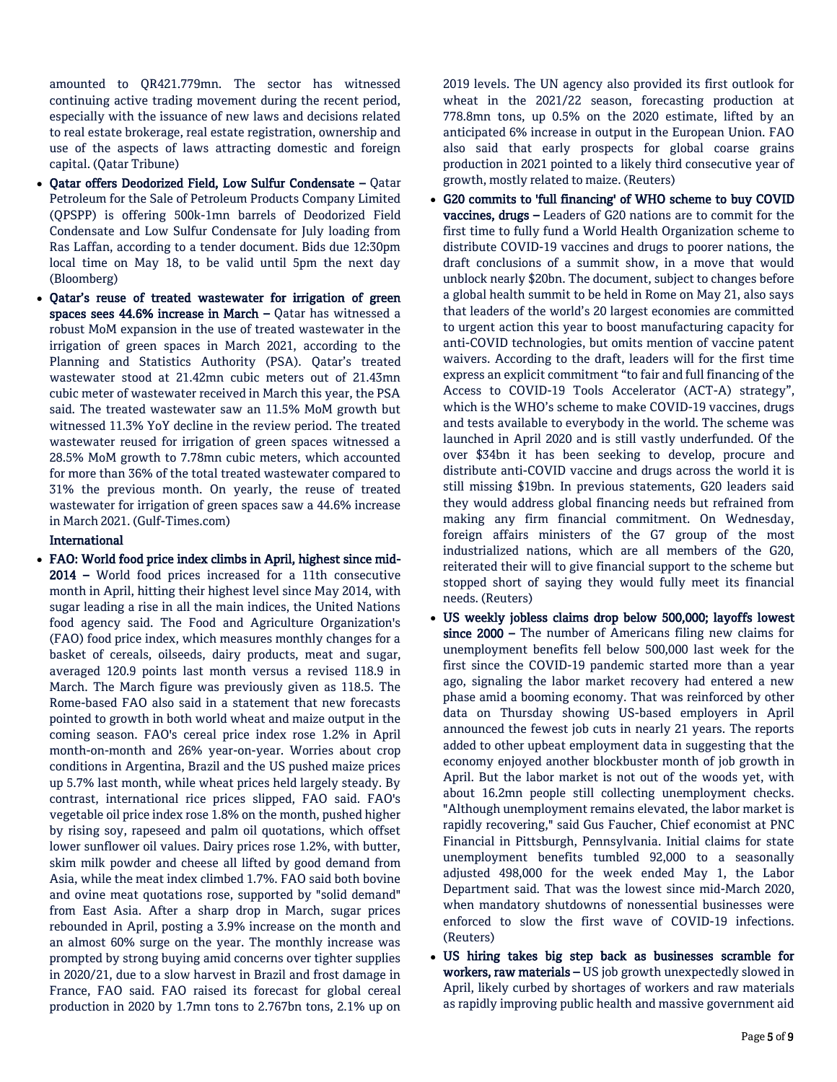amounted to QR421.779mn. The sector has witnessed continuing active trading movement during the recent period, especially with the issuance of new laws and decisions related to real estate brokerage, real estate registration, ownership and use of the aspects of laws attracting domestic and foreign capital. (Qatar Tribune)

- Qatar offers Deodorized Field, Low Sulfur Condensate Qatar Petroleum for the Sale of Petroleum Products Company Limited (QPSPP) is offering 500k-1mn barrels of Deodorized Field Condensate and Low Sulfur Condensate for July loading from Ras Laffan, according to a tender document. Bids due 12:30pm local time on May 18, to be valid until 5pm the next day (Bloomberg)
- Qatar's reuse of treated wastewater for irrigation of green spaces sees 44.6% increase in March – Qatar has witnessed a robust MoM expansion in the use of treated wastewater in the irrigation of green spaces in March 2021, according to the Planning and Statistics Authority (PSA). Qatar's treated wastewater stood at 21.42mn cubic meters out of 21.43mn cubic meter of wastewater received in March this year, the PSA said. The treated wastewater saw an 11.5% MoM growth but witnessed 11.3% YoY decline in the review period. The treated wastewater reused for irrigation of green spaces witnessed a 28.5% MoM growth to 7.78mn cubic meters, which accounted for more than 36% of the total treated wastewater compared to 31% the previous month. On yearly, the reuse of treated wastewater for irrigation of green spaces saw a 44.6% increase in March 2021. (Gulf-Times.com)

# International

 FAO: World food price index climbs in April, highest since mid-2014 – World food prices increased for a 11th consecutive month in April, hitting their highest level since May 2014, with sugar leading a rise in all the main indices, the United Nations food agency said. The Food and Agriculture Organization's (FAO) food price index, which measures monthly changes for a basket of cereals, oilseeds, dairy products, meat and sugar, averaged 120.9 points last month versus a revised 118.9 in March. The March figure was previously given as 118.5. The Rome-based FAO also said in a statement that new forecasts pointed to growth in both world wheat and maize output in the coming season. FAO's cereal price index rose 1.2% in April month-on-month and 26% year-on-year. Worries about crop conditions in Argentina, Brazil and the US pushed maize prices up 5.7% last month, while wheat prices held largely steady. By contrast, international rice prices slipped, FAO said. FAO's vegetable oil price index rose 1.8% on the month, pushed higher by rising soy, rapeseed and palm oil quotations, which offset lower sunflower oil values. Dairy prices rose 1.2%, with butter, skim milk powder and cheese all lifted by good demand from Asia, while the meat index climbed 1.7%. FAO said both bovine and ovine meat quotations rose, supported by "solid demand" from East Asia. After a sharp drop in March, sugar prices rebounded in April, posting a 3.9% increase on the month and an almost 60% surge on the year. The monthly increase was prompted by strong buying amid concerns over tighter supplies in 2020/21, due to a slow harvest in Brazil and frost damage in France, FAO said. FAO raised its forecast for global cereal production in 2020 by 1.7mn tons to 2.767bn tons, 2.1% up on

2019 levels. The UN agency also provided its first outlook for wheat in the 2021/22 season, forecasting production at 778.8mn tons, up 0.5% on the 2020 estimate, lifted by an anticipated 6% increase in output in the European Union. FAO also said that early prospects for global coarse grains production in 2021 pointed to a likely third consecutive year of growth, mostly related to maize. (Reuters)

- G20 commits to 'full financing' of WHO scheme to buy COVID vaccines, drugs – Leaders of G20 nations are to commit for the first time to fully fund a World Health Organization scheme to distribute COVID-19 vaccines and drugs to poorer nations, the draft conclusions of a summit show, in a move that would unblock nearly \$20bn. The document, subject to changes before a global health summit to be held in Rome on May 21, also says that leaders of the world's 20 largest economies are committed to urgent action this year to boost manufacturing capacity for anti-COVID technologies, but omits mention of vaccine patent waivers. According to the draft, leaders will for the first time express an explicit commitment "to fair and full financing of the Access to COVID-19 Tools Accelerator (ACT-A) strategy", which is the WHO's scheme to make COVID-19 vaccines, drugs and tests available to everybody in the world. The scheme was launched in April 2020 and is still vastly underfunded. Of the over \$34bn it has been seeking to develop, procure and distribute anti-COVID vaccine and drugs across the world it is still missing \$19bn. In previous statements, G20 leaders said they would address global financing needs but refrained from making any firm financial commitment. On Wednesday, foreign affairs ministers of the G7 group of the most industrialized nations, which are all members of the G20, reiterated their will to give financial support to the scheme but stopped short of saying they would fully meet its financial needs. (Reuters)
- US weekly jobless claims drop below 500,000; layoffs lowest since 2000 – The number of Americans filing new claims for unemployment benefits fell below 500,000 last week for the first since the COVID-19 pandemic started more than a year ago, signaling the labor market recovery had entered a new phase amid a booming economy. That was reinforced by other data on Thursday showing US-based employers in April announced the fewest job cuts in nearly 21 years. The reports added to other upbeat employment data in suggesting that the economy enjoyed another blockbuster month of job growth in April. But the labor market is not out of the woods yet, with about 16.2mn people still collecting unemployment checks. "Although unemployment remains elevated, the labor market is rapidly recovering," said Gus Faucher, Chief economist at PNC Financial in Pittsburgh, Pennsylvania. Initial claims for state unemployment benefits tumbled 92,000 to a seasonally adjusted 498,000 for the week ended May 1, the Labor Department said. That was the lowest since mid-March 2020, when mandatory shutdowns of nonessential businesses were enforced to slow the first wave of COVID-19 infections. (Reuters)
- US hiring takes big step back as businesses scramble for workers, raw materials – US job growth unexpectedly slowed in April, likely curbed by shortages of workers and raw materials as rapidly improving public health and massive government aid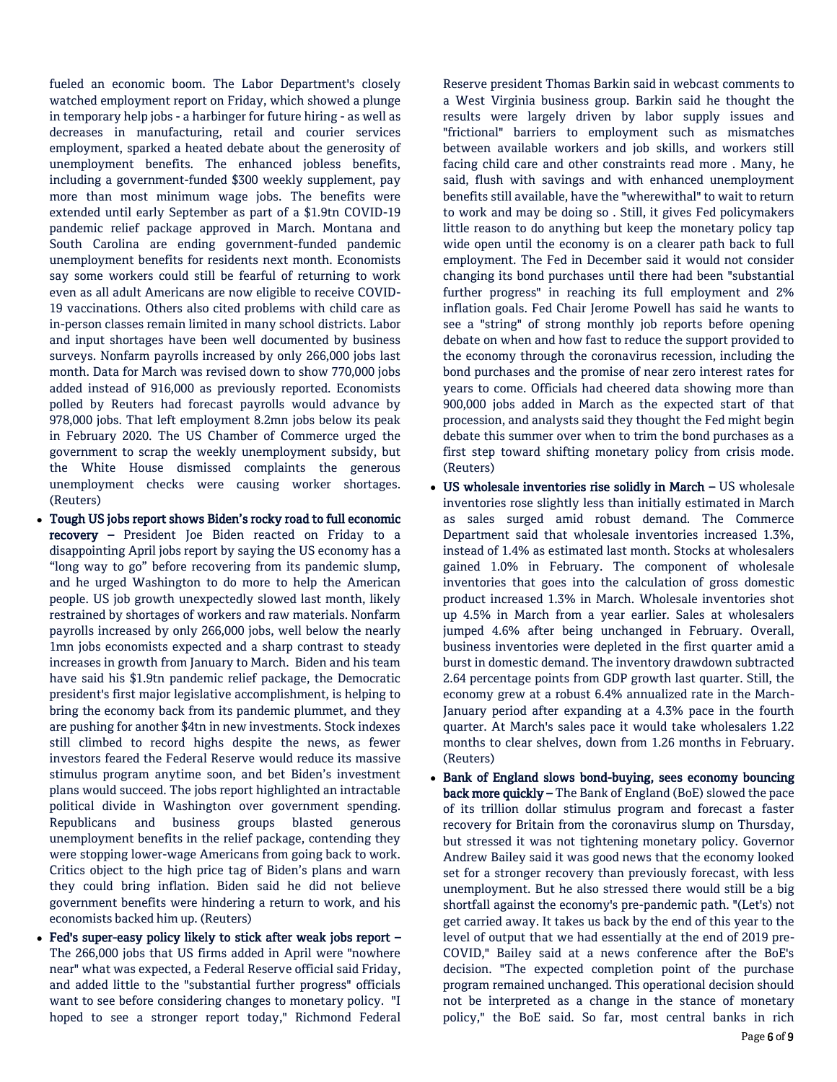fueled an economic boom. The Labor Department's closely watched employment report on Friday, which showed a plunge in temporary help jobs - a harbinger for future hiring - as well as decreases in manufacturing, retail and courier services employment, sparked a heated debate about the generosity of unemployment benefits. The enhanced jobless benefits, including a government-funded \$300 weekly supplement, pay more than most minimum wage jobs. The benefits were extended until early September as part of a \$1.9tn COVID-19 pandemic relief package approved in March. Montana and South Carolina are ending government-funded pandemic unemployment benefits for residents next month. Economists say some workers could still be fearful of returning to work even as all adult Americans are now eligible to receive COVID-19 vaccinations. Others also cited problems with child care as in-person classes remain limited in many school districts. Labor and input shortages have been well documented by business surveys. Nonfarm payrolls increased by only 266,000 jobs last month. Data for March was revised down to show 770,000 jobs added instead of 916,000 as previously reported. Economists polled by Reuters had forecast payrolls would advance by 978,000 jobs. That left employment 8.2mn jobs below its peak in February 2020. The US Chamber of Commerce urged the government to scrap the weekly unemployment subsidy, but the White House dismissed complaints the generous unemployment checks were causing worker shortages. (Reuters)

- Tough US jobs report shows Biden's rocky road to full economic recovery – President Joe Biden reacted on Friday to a disappointing April jobs report by saying the US economy has a "long way to go" before recovering from its pandemic slump, and he urged Washington to do more to help the American people. US job growth unexpectedly slowed last month, likely restrained by shortages of workers and raw materials. Nonfarm payrolls increased by only 266,000 jobs, well below the nearly 1mn jobs economists expected and a sharp contrast to steady increases in growth from January to March. Biden and his team have said his \$1.9tn pandemic relief package, the Democratic president's first major legislative accomplishment, is helping to bring the economy back from its pandemic plummet, and they are pushing for another \$4tn in new investments. Stock indexes still climbed to record highs despite the news, as fewer investors feared the Federal Reserve would reduce its massive stimulus program anytime soon, and bet Biden's investment plans would succeed. The jobs report highlighted an intractable political divide in Washington over government spending. Republicans and business groups blasted generous unemployment benefits in the relief package, contending they were stopping lower-wage Americans from going back to work. Critics object to the high price tag of Biden's plans and warn they could bring inflation. Biden said he did not believe government benefits were hindering a return to work, and his economists backed him up. (Reuters)
- Fed's super-easy policy likely to stick after weak jobs report The 266,000 jobs that US firms added in April were "nowhere near" what was expected, a Federal Reserve official said Friday, and added little to the "substantial further progress" officials want to see before considering changes to monetary policy. "I hoped to see a stronger report today," Richmond Federal

Reserve president Thomas Barkin said in webcast comments to a West Virginia business group. Barkin said he thought the results were largely driven by labor supply issues and "frictional" barriers to employment such as mismatches between available workers and job skills, and workers still facing child care and other constraints read more . Many, he said, flush with savings and with enhanced unemployment benefits still available, have the "wherewithal" to wait to return to work and may be doing so . Still, it gives Fed policymakers little reason to do anything but keep the monetary policy tap wide open until the economy is on a clearer path back to full employment. The Fed in December said it would not consider changing its bond purchases until there had been "substantial further progress" in reaching its full employment and 2% inflation goals. Fed Chair Jerome Powell has said he wants to see a "string" of strong monthly job reports before opening debate on when and how fast to reduce the support provided to the economy through the coronavirus recession, including the bond purchases and the promise of near zero interest rates for years to come. Officials had cheered data showing more than 900,000 jobs added in March as the expected start of that procession, and analysts said they thought the Fed might begin debate this summer over when to trim the bond purchases as a first step toward shifting monetary policy from crisis mode. (Reuters)

- US wholesale inventories rise solidly in March US wholesale inventories rose slightly less than initially estimated in March as sales surged amid robust demand. The Commerce Department said that wholesale inventories increased 1.3%, instead of 1.4% as estimated last month. Stocks at wholesalers gained 1.0% in February. The component of wholesale inventories that goes into the calculation of gross domestic product increased 1.3% in March. Wholesale inventories shot up 4.5% in March from a year earlier. Sales at wholesalers jumped 4.6% after being unchanged in February. Overall, business inventories were depleted in the first quarter amid a burst in domestic demand. The inventory drawdown subtracted 2.64 percentage points from GDP growth last quarter. Still, the economy grew at a robust 6.4% annualized rate in the March-January period after expanding at a 4.3% pace in the fourth quarter. At March's sales pace it would take wholesalers 1.22 months to clear shelves, down from 1.26 months in February. (Reuters)
- Bank of England slows bond-buying, sees economy bouncing back more quickly – The Bank of England (BoE) slowed the pace of its trillion dollar stimulus program and forecast a faster recovery for Britain from the coronavirus slump on Thursday, but stressed it was not tightening monetary policy. Governor Andrew Bailey said it was good news that the economy looked set for a stronger recovery than previously forecast, with less unemployment. But he also stressed there would still be a big shortfall against the economy's pre-pandemic path. "(Let's) not get carried away. It takes us back by the end of this year to the level of output that we had essentially at the end of 2019 pre-COVID," Bailey said at a news conference after the BoE's decision. "The expected completion point of the purchase program remained unchanged. This operational decision should not be interpreted as a change in the stance of monetary policy," the BoE said. So far, most central banks in rich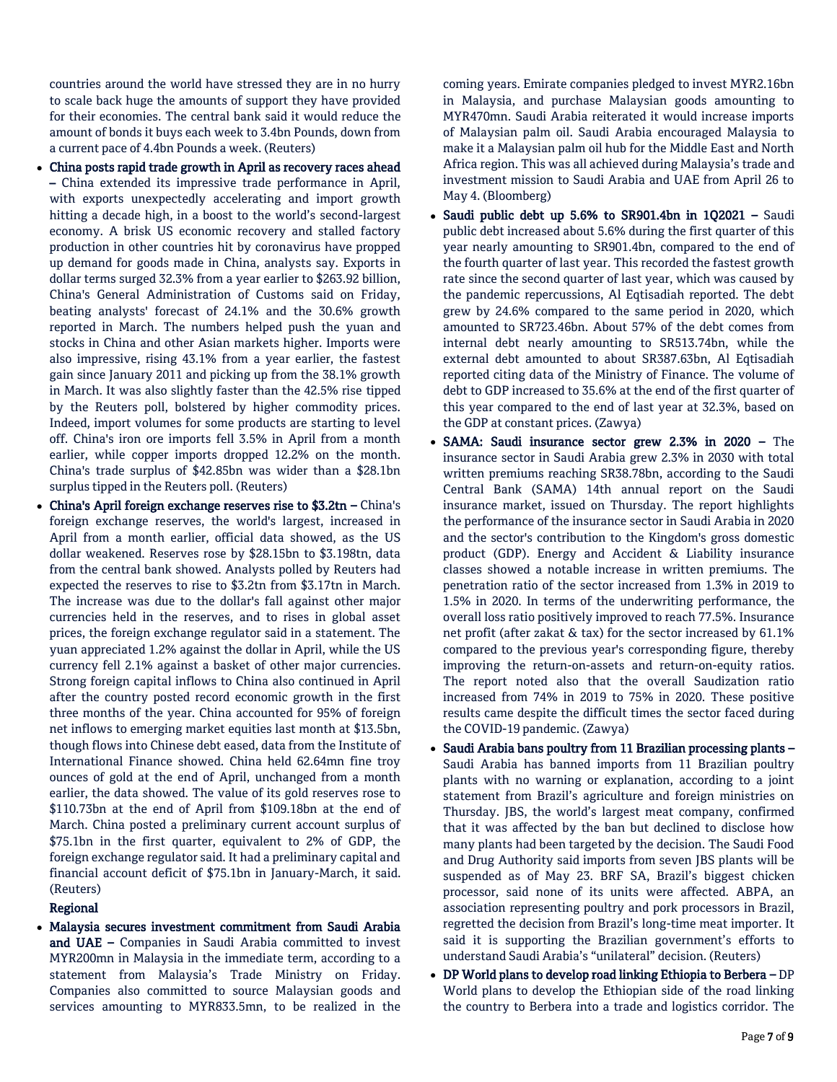countries around the world have stressed they are in no hurry to scale back huge the amounts of support they have provided for their economies. The central bank said it would reduce the amount of bonds it buys each week to 3.4bn Pounds, down from a current pace of 4.4bn Pounds a week. (Reuters)

- China posts rapid trade growth in April as recovery races ahead – China extended its impressive trade performance in April, with exports unexpectedly accelerating and import growth hitting a decade high, in a boost to the world's second-largest economy. A brisk US economic recovery and stalled factory production in other countries hit by coronavirus have propped up demand for goods made in China, analysts say. Exports in dollar terms surged 32.3% from a year earlier to \$263.92 billion, China's General Administration of Customs said on Friday, beating analysts' forecast of 24.1% and the 30.6% growth reported in March. The numbers helped push the yuan and stocks in China and other Asian markets higher. Imports were also impressive, rising 43.1% from a year earlier, the fastest gain since January 2011 and picking up from the 38.1% growth in March. It was also slightly faster than the 42.5% rise tipped by the Reuters poll, bolstered by higher commodity prices. Indeed, import volumes for some products are starting to level off. China's iron ore imports fell 3.5% in April from a month earlier, while copper imports dropped 12.2% on the month. China's trade surplus of \$42.85bn was wider than a \$28.1bn surplus tipped in the Reuters poll. (Reuters)
- China's April foreign exchange reserves rise to \$3.2tn China's foreign exchange reserves, the world's largest, increased in April from a month earlier, official data showed, as the US dollar weakened. Reserves rose by \$28.15bn to \$3.198tn, data from the central bank showed. Analysts polled by Reuters had expected the reserves to rise to \$3.2tn from \$3.17tn in March. The increase was due to the dollar's fall against other major currencies held in the reserves, and to rises in global asset prices, the foreign exchange regulator said in a statement. The yuan appreciated 1.2% against the dollar in April, while the US currency fell 2.1% against a basket of other major currencies. Strong foreign capital inflows to China also continued in April after the country posted record economic growth in the first three months of the year. China accounted for 95% of foreign net inflows to emerging market equities last month at \$13.5bn, though flows into Chinese debt eased, data from the Institute of International Finance showed. China held 62.64mn fine troy ounces of gold at the end of April, unchanged from a month earlier, the data showed. The value of its gold reserves rose to \$110.73bn at the end of April from \$109.18bn at the end of March. China posted a preliminary current account surplus of \$75.1bn in the first quarter, equivalent to 2% of GDP, the foreign exchange regulator said. It had a preliminary capital and financial account deficit of \$75.1bn in January-March, it said. (Reuters)

# Regional

 Malaysia secures investment commitment from Saudi Arabia and UAE - Companies in Saudi Arabia committed to invest MYR200mn in Malaysia in the immediate term, according to a statement from Malaysia's Trade Ministry on Friday. Companies also committed to source Malaysian goods and services amounting to MYR833.5mn, to be realized in the

coming years. Emirate companies pledged to invest MYR2.16bn in Malaysia, and purchase Malaysian goods amounting to MYR470mn. Saudi Arabia reiterated it would increase imports of Malaysian palm oil. Saudi Arabia encouraged Malaysia to make it a Malaysian palm oil hub for the Middle East and North Africa region. This was all achieved during Malaysia's trade and investment mission to Saudi Arabia and UAE from April 26 to May 4. (Bloomberg)

- Saudi public debt up 5.6% to SR901.4bn in 1Q2021 Saudi public debt increased about 5.6% during the first quarter of this year nearly amounting to SR901.4bn, compared to the end of the fourth quarter of last year. This recorded the fastest growth rate since the second quarter of last year, which was caused by the pandemic repercussions, Al Eqtisadiah reported. The debt grew by 24.6% compared to the same period in 2020, which amounted to SR723.46bn. About 57% of the debt comes from internal debt nearly amounting to SR513.74bn, while the external debt amounted to about SR387.63bn, Al Eqtisadiah reported citing data of the Ministry of Finance. The volume of debt to GDP increased to 35.6% at the end of the first quarter of this year compared to the end of last year at 32.3%, based on the GDP at constant prices. (Zawya)
- SAMA: Saudi insurance sector grew 2.3% in 2020 The insurance sector in Saudi Arabia grew 2.3% in 2030 with total written premiums reaching SR38.78bn, according to the Saudi Central Bank (SAMA) 14th annual report on the Saudi insurance market, issued on Thursday. The report highlights the performance of the insurance sector in Saudi Arabia in 2020 and the sector's contribution to the Kingdom's gross domestic product (GDP). Energy and Accident & Liability insurance classes showed a notable increase in written premiums. The penetration ratio of the sector increased from 1.3% in 2019 to 1.5% in 2020. In terms of the underwriting performance, the overall loss ratio positively improved to reach 77.5%. Insurance net profit (after zakat & tax) for the sector increased by 61.1% compared to the previous year's corresponding figure, thereby improving the return-on-assets and return-on-equity ratios. The report noted also that the overall Saudization ratio increased from 74% in 2019 to 75% in 2020. These positive results came despite the difficult times the sector faced during the COVID-19 pandemic. (Zawya)
- Saudi Arabia bans poultry from 11 Brazilian processing plants Saudi Arabia has banned imports from 11 Brazilian poultry plants with no warning or explanation, according to a joint statement from Brazil's agriculture and foreign ministries on Thursday. JBS, the world's largest meat company, confirmed that it was affected by the ban but declined to disclose how many plants had been targeted by the decision. The Saudi Food and Drug Authority said imports from seven JBS plants will be suspended as of May 23. BRF SA, Brazil's biggest chicken processor, said none of its units were affected. ABPA, an association representing poultry and pork processors in Brazil, regretted the decision from Brazil's long-time meat importer. It said it is supporting the Brazilian government's efforts to understand Saudi Arabia's "unilateral" decision. (Reuters)
- DP World plans to develop road linking Ethiopia to Berbera DP World plans to develop the Ethiopian side of the road linking the country to Berbera into a trade and logistics corridor. The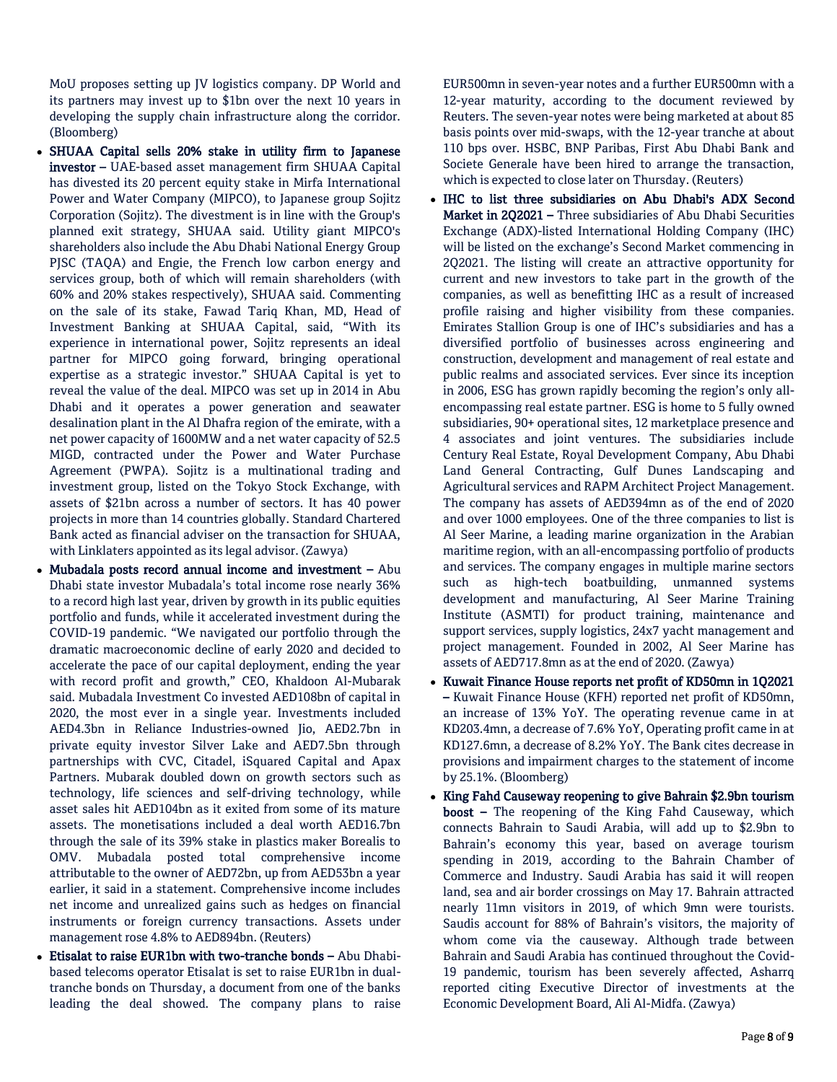MoU proposes setting up JV logistics company. DP World and its partners may invest up to \$1bn over the next 10 years in developing the supply chain infrastructure along the corridor. (Bloomberg)

- SHUAA Capital sells 20% stake in utility firm to Japanese investor – UAE-based asset management firm SHUAA Capital has divested its 20 percent equity stake in Mirfa International Power and Water Company (MIPCO), to Japanese group Sojitz Corporation (Sojitz). The divestment is in line with the Group's planned exit strategy, SHUAA said. Utility giant MIPCO's shareholders also include the Abu Dhabi National Energy Group PJSC (TAQA) and Engie, the French low carbon energy and services group, both of which will remain shareholders (with 60% and 20% stakes respectively), SHUAA said. Commenting on the sale of its stake, Fawad Tariq Khan, MD, Head of Investment Banking at SHUAA Capital, said, "With its experience in international power, Sojitz represents an ideal partner for MIPCO going forward, bringing operational expertise as a strategic investor." SHUAA Capital is yet to reveal the value of the deal. MIPCO was set up in 2014 in Abu Dhabi and it operates a power generation and seawater desalination plant in the Al Dhafra region of the emirate, with a net power capacity of 1600MW and a net water capacity of 52.5 MIGD, contracted under the Power and Water Purchase Agreement (PWPA). Sojitz is a multinational trading and investment group, listed on the Tokyo Stock Exchange, with assets of \$21bn across a number of sectors. It has 40 power projects in more than 14 countries globally. Standard Chartered Bank acted as financial adviser on the transaction for SHUAA, with Linklaters appointed as its legal advisor. (Zawya)
- Mubadala posts record annual income and investment  $-$  Abu Dhabi state investor Mubadala's total income rose nearly 36% to a record high last year, driven by growth in its public equities portfolio and funds, while it accelerated investment during the COVID-19 pandemic. "We navigated our portfolio through the dramatic macroeconomic decline of early 2020 and decided to accelerate the pace of our capital deployment, ending the year with record profit and growth," CEO, Khaldoon Al-Mubarak said. Mubadala Investment Co invested AED108bn of capital in 2020, the most ever in a single year. Investments included AED4.3bn in Reliance Industries-owned Jio, AED2.7bn in private equity investor Silver Lake and AED7.5bn through partnerships with CVC, Citadel, iSquared Capital and Apax Partners. Mubarak doubled down on growth sectors such as technology, life sciences and self-driving technology, while asset sales hit AED104bn as it exited from some of its mature assets. The monetisations included a deal worth AED16.7bn through the sale of its 39% stake in plastics maker Borealis to OMV. Mubadala posted total comprehensive income attributable to the owner of AED72bn, up from AED53bn a year earlier, it said in a statement. Comprehensive income includes net income and unrealized gains such as hedges on financial instruments or foreign currency transactions. Assets under management rose 4.8% to AED894bn. (Reuters)
- Etisalat to raise EUR1bn with two-tranche bonds Abu Dhabibased telecoms operator Etisalat is set to raise EUR1bn in dualtranche bonds on Thursday, a document from one of the banks leading the deal showed. The company plans to raise

EUR500mn in seven-year notes and a further EUR500mn with a 12-year maturity, according to the document reviewed by Reuters. The seven-year notes were being marketed at about 85 basis points over mid-swaps, with the 12-year tranche at about 110 bps over. HSBC, BNP Paribas, First Abu Dhabi Bank and Societe Generale have been hired to arrange the transaction, which is expected to close later on Thursday. (Reuters)

- IHC to list three subsidiaries on Abu Dhabi's ADX Second Market in 2Q2021 – Three subsidiaries of Abu Dhabi Securities Exchange (ADX)-listed International Holding Company (IHC) will be listed on the exchange's Second Market commencing in 2Q2021. The listing will create an attractive opportunity for current and new investors to take part in the growth of the companies, as well as benefitting IHC as a result of increased profile raising and higher visibility from these companies. Emirates Stallion Group is one of IHC's subsidiaries and has a diversified portfolio of businesses across engineering and construction, development and management of real estate and public realms and associated services. Ever since its inception in 2006, ESG has grown rapidly becoming the region's only allencompassing real estate partner. ESG is home to 5 fully owned subsidiaries, 90+ operational sites, 12 marketplace presence and 4 associates and joint ventures. The subsidiaries include Century Real Estate, Royal Development Company, Abu Dhabi Land General Contracting, Gulf Dunes Landscaping and Agricultural services and RAPM Architect Project Management. The company has assets of AED394mn as of the end of 2020 and over 1000 employees. One of the three companies to list is Al Seer Marine, a leading marine organization in the Arabian maritime region, with an all-encompassing portfolio of products and services. The company engages in multiple marine sectors such as high-tech boatbuilding, unmanned systems development and manufacturing, Al Seer Marine Training Institute (ASMTI) for product training, maintenance and support services, supply logistics, 24x7 yacht management and project management. Founded in 2002, Al Seer Marine has assets of AED717.8mn as at the end of 2020. (Zawya)
- Kuwait Finance House reports net profit of KD50mn in 1Q2021 – Kuwait Finance House (KFH) reported net profit of KD50mn, an increase of 13% YoY. The operating revenue came in at KD203.4mn, a decrease of 7.6% YoY, Operating profit came in at KD127.6mn, a decrease of 8.2% YoY. The Bank cites decrease in provisions and impairment charges to the statement of income by 25.1%. (Bloomberg)
- King Fahd Causeway reopening to give Bahrain \$2.9bn tourism boost – The reopening of the King Fahd Causeway, which connects Bahrain to Saudi Arabia, will add up to \$2.9bn to Bahrain's economy this year, based on average tourism spending in 2019, according to the Bahrain Chamber of Commerce and Industry. Saudi Arabia has said it will reopen land, sea and air border crossings on May 17. Bahrain attracted nearly 11mn visitors in 2019, of which 9mn were tourists. Saudis account for 88% of Bahrain's visitors, the majority of whom come via the causeway. Although trade between Bahrain and Saudi Arabia has continued throughout the Covid-19 pandemic, tourism has been severely affected, Asharrq reported citing Executive Director of investments at the Economic Development Board, Ali Al-Midfa. (Zawya)